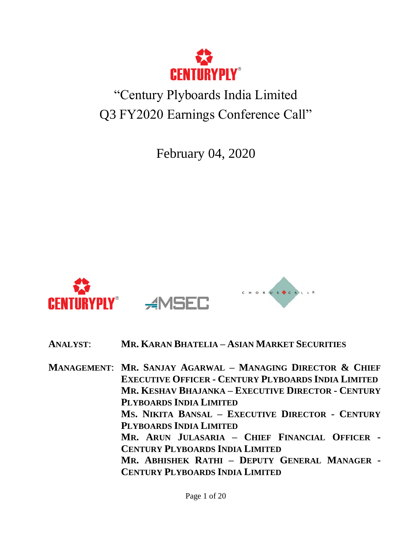

# "Century Plyboards India Limited Q3 FY2020 Earnings Conference Call"

February 04, 2020



**ANALYST**: **MR. KARAN BHATELIA – ASIAN MARKET SECURITIES**

**MANAGEMENT**: **MR. SANJAY AGARWAL – MANAGING DIRECTOR & CHIEF EXECUTIVE OFFICER - CENTURY PLYBOARDS INDIA LIMITED MR. KESHAV BHAJANKA – EXECUTIVE DIRECTOR - CENTURY PLYBOARDS INDIA LIMITED MS. NIKITA BANSAL – EXECUTIVE DIRECTOR - CENTURY PLYBOARDS INDIA LIMITED MR. ARUN JULASARIA – CHIEF FINANCIAL OFFICER - CENTURY PLYBOARDS INDIA LIMITED MR. ABHISHEK RATHI – DEPUTY GENERAL MANAGER - CENTURY PLYBOARDS INDIA LIMITED**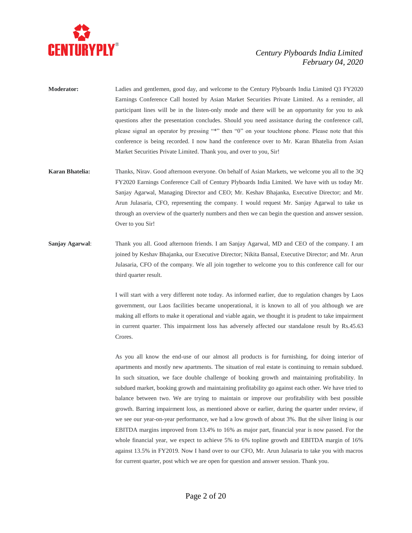

- **Moderator:** Ladies and gentlemen, good day, and welcome to the Century Plyboards India Limited Q3 FY2020 Earnings Conference Call hosted by Asian Market Securities Private Limited. As a reminder, all participant lines will be in the listen-only mode and there will be an opportunity for you to ask questions after the presentation concludes. Should you need assistance during the conference call, please signal an operator by pressing "\*" then "0" on your touchtone phone. Please note that this conference is being recorded. I now hand the conference over to Mr. Karan Bhatelia from Asian Market Securities Private Limited. Thank you, and over to you, Sir!
- **Karan Bhatelia:** Thanks, Nirav. Good afternoon everyone. On behalf of Asian Markets, we welcome you all to the 3Q FY2020 Earnings Conference Call of Century Plyboards India Limited. We have with us today Mr. Sanjay Agarwal, Managing Director and CEO; Mr. Keshav Bhajanka, Executive Director; and Mr. Arun Julasaria, CFO, representing the company. I would request Mr. Sanjay Agarwal to take us through an overview of the quarterly numbers and then we can begin the question and answer session. Over to you Sir!
- **Sanjay Agarwal**: Thank you all. Good afternoon friends. I am Sanjay Agarwal, MD and CEO of the company. I am joined by Keshav Bhajanka, our Executive Director; Nikita Bansal, Executive Director; and Mr. Arun Julasaria, CFO of the company. We all join together to welcome you to this conference call for our third quarter result.

I will start with a very different note today. As informed earlier, due to regulation changes by Laos government, our Laos facilities became unoperational, it is known to all of you although we are making all efforts to make it operational and viable again, we thought it is prudent to take impairment in current quarter. This impairment loss has adversely affected our standalone result by Rs.45.63 Crores.

As you all know the end-use of our almost all products is for furnishing, for doing interior of apartments and mostly new apartments. The situation of real estate is continuing to remain subdued. In such situation, we face double challenge of booking growth and maintaining profitability. In subdued market, booking growth and maintaining profitability go against each other. We have tried to balance between two. We are trying to maintain or improve our profitability with best possible growth. Barring impairment loss, as mentioned above or earlier, during the quarter under review, if we see our year-on-year performance, we had a low growth of about 3%. But the silver lining is our EBITDA margins improved from 13.4% to 16% as major part, financial year is now passed. For the whole financial year, we expect to achieve 5% to 6% topline growth and EBITDA margin of 16% against 13.5% in FY2019. Now I hand over to our CFO, Mr. Arun Julasaria to take you with macros for current quarter, post which we are open for question and answer session. Thank you.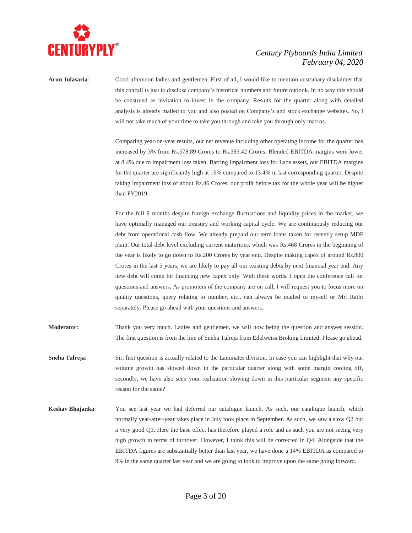

**Arun Julasaria**: Good afternoon ladies and gentlemen. First of all, I would like to mention customary disclaimer that this concall is just to disclose company's historical numbers and future outlook. In no way this should be construed as invitation to invest in the company. Results for the quarter along with detailed analysis is already mailed to you and also posted on Company's and stock exchange websites. So, I will not take much of your time to take you through and take you through only macros.

> Comparing year-on-year results, our net revenue including other operating income for the quarter has increased by 3% from Rs.578.89 Crores to Rs.595.42 Crores. Blended EBITDA margins were lower at 8.4% due to impairment loss taken. Barring impairment loss for Laos assets, our EBITDA margins for the quarter are significantly high at 16% compared to 13.4% in last corresponding quarter. Despite taking impairment loss of about Rs.46 Crores, our profit before tax for the whole year will be higher than FY2019.

> For the full 9 months despite foreign exchange fluctuations and liquidity prices in the market, we have optimally managed our treasury and working capital cycle. We are continuously reducing our debt from operational cash flow. We already prepaid our term loans taken for recently setup MDF plant. Our total debt level excluding current maturities, which was Rs.468 Crores in the beginning of the year is likely to go down to Rs.200 Crores by year end. Despite making capex of around Rs.800 Crores in the last 5 years, we are likely to pay all our existing debts by next financial year end. Any new debt will come for financing new capex only. With these words, I open the conference call for questions and answers. As promoters of the company are on call, I will request you to focus more on quality questions, query relating to number, etc., can always be mailed to myself or Mr. Rathi separately. Please go ahead with your questions and answers.

- **Moderator**: Thank you very much. Ladies and gentlemen, we will now being the question and answer session. The first question is from the line of Sneha Talreja from Edelweiss Broking Limited. Please go ahead.
- **Sneha Talreja:** Sir, first question is actually related to the Laminates division. In case you can highlight that why our volume growth has slowed down in the particular quarter along with some margin cooling off, secondly, we have also seen your realization slowing down in this particular segment any specific reason for the same?
- **Keshav Bhajanka**: You see last year we had deferred our catalogue launch. As such, our catalogue launch, which normally year-after-year takes place in July took place in September. As such, we saw a slow Q2 but a very good Q3. Here the base effect has therefore played a role and as such you are not seeing very high growth in terms of turnover. However, I think this will be corrected in Q4. Alongside that the EBITDA figures are substantially better than last year, we have done a 14% EBITDA as compared to 9% in the same quarter last year and we are going to look to improve upon the same going forward.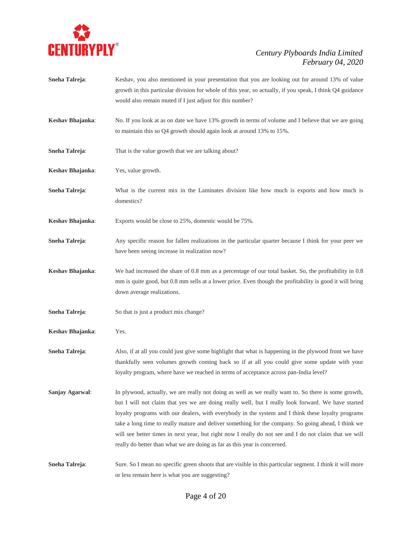

- **Sneha Talreja:** Keshav, you also mentioned in your presentation that you are looking out for around 13% of value growth in this particular division for whole of this year, so actually, if you speak, I think Q4 guidance would also remain muted if I just adjust for this number?
- **Keshav Bhajanka**: No. If you look at as on date we have 13% growth in terms of volume and I believe that we are going to maintain this so Q4 growth should again look at around 13% to 15%.
- **Sneha Talreja:** That is the value growth that we are talking about?
- **Keshav Bhajanka**: Yes, value growth.
- **Sneha Talreja:** What is the current mix in the Laminates division like how much is exports and how much is domestics?
- **Keshav Bhajanka**: Exports would be close to 25%, domestic would be 75%.
- **Sneha Talreja:** Any specific reason for fallen realizations in the particular quarter because I think for your peer we have been seeing increase in realization now?
- **Keshav Bhajanka**: We had increased the share of 0.8 mm as a percentage of our total basket. So, the profitability in 0.8 mm is quite good, but 0.8 mm sells at a lower price. Even though the profitability is good it will bring down average realizations.
- **Sneha Talreja:** So that is just a product mix change?
- **Keshav Bhajanka**: Yes.
- **Sneha Talreja:** Also, if at all you could just give some highlight that what is happening in the plywood front we have thankfully seen volumes growth coming back so if at all you could give some update with your loyalty program, where have we reached in terms of acceptance across pan-India level?
- **Sanjay Agarwal:** In plywood, actually, we are really not doing as well as we really want to. So there is some growth, but I will not claim that yes we are doing really well, but I really look forward. We have started loyalty programs with our dealers, with everybody in the system and I think these loyalty programs take a long time to really mature and deliver something for the company. So going ahead, I think we will see better times in next year, but right now I really do not see and I do not claim that we will really do better than what we are doing as far as this year is concerned.

**Sneha Talreja:** Sure. So I mean no specific green shoots that are visible in this particular segment. I think it will more or less remain here is what you are suggesting?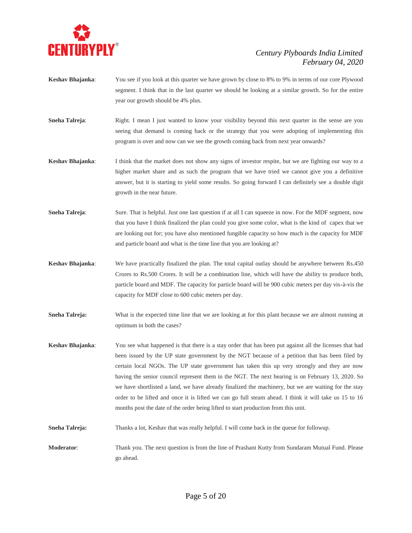

- **Keshav Bhajanka**: You see if you look at this quarter we have grown by close to 8% to 9% in terms of our core Plywood segment. I think that in the last quarter we should be looking at a similar growth. So for the entire year our growth should be 4% plus.
- **Sneha Talreja:** Right. I mean I just wanted to know your visibility beyond this next quarter in the sense are you seeing that demand is coming back or the strategy that you were adopting of implementing this program is over and now can we see the growth coming back from next year onwards?
- **Keshav Bhajanka**: I think that the market does not show any signs of investor respite, but we are fighting our way to a higher market share and as such the program that we have tried we cannot give you a definitive answer, but it is starting to yield some results. So going forward I can definitely see a double digit growth in the near future.
- **Sneha Talreja:** Sure. That is helpful. Just one last question if at all I can squeeze in now. For the MDF segment, now that you have I think finalized the plan could you give some color, what is the kind of capex that we are looking out for; you have also mentioned fungible capacity so how much is the capacity for MDF and particle board and what is the time line that you are looking at?
- **Keshav Bhajanka**: We have practically finalized the plan. The total capital outlay should be anywhere between Rs.450 Crores to Rs.500 Crores. It will be a combination line, which will have the ability to produce both, particle board and MDF. The capacity for particle board will be 900 cubic meters per day vis-à-vis the capacity for MDF close to 600 cubic meters per day.
- **Sneha Talreja:** What is the expected time line that we are looking at for this plant because we are almost running at optimum in both the cases?
- **Keshav Bhajanka**: You see what happened is that there is a stay order that has been put against all the licenses that had been issued by the UP state government by the NGT because of a petition that has been filed by certain local NGOs. The UP state government has taken this up very strongly and they are now having the senior council represent them in the NGT. The next hearing is on February 13, 2020. So we have shortlisted a land, we have already finalized the machinery, but we are waiting for the stay order to be lifted and once it is lifted we can go full steam ahead. I think it will take us 15 to 16 months post the date of the order being lifted to start production from this unit.
- **Sneha Talreja:** Thanks a lot, Keshav that was really helpful. I will come back in the queue for followup.
- **Moderator**: Thank you. The next question is from the line of Prashant Kutty from Sundaram Mutual Fund. Please go ahead.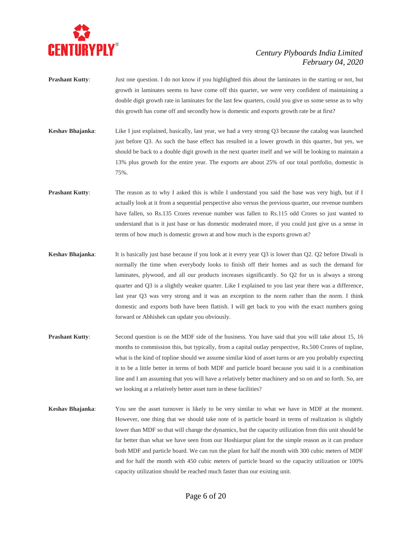

- **Prashant Kutty:** Just one question. I do not know if you highlighted this about the laminates in the starting or not, but growth in laminates seems to have come off this quarter, we were very confident of maintaining a double digit growth rate in laminates for the last few quarters, could you give us some sense as to why this growth has come off and secondly how is domestic and exports growth rate be at first?
- **Keshav Bhajanka**: Like I just explained, basically, last year, we had a very strong Q3 because the catalog was launched just before Q3. As such the base effect has resulted in a lower growth in this quarter, but yes, we should be back to a double digit growth in the next quarter itself and we will be looking to maintain a 13% plus growth for the entire year. The exports are about 25% of our total portfolio, domestic is 75%.
- **Prashant Kutty**: The reason as to why I asked this is while I understand you said the base was very high, but if I actually look at it from a sequential perspective also versus the previous quarter, our revenue numbers have fallen, so Rs.135 Crores revenue number was fallen to Rs.115 odd Crores so just wanted to understand that is it just base or has domestic moderated more, if you could just give us a sense in terms of how much is domestic grown at and how much is the exports grown at?
- **Keshav Bhajanka**: It is basically just base because if you look at it every year Q3 is lower than Q2. Q2 before Diwali is normally the time when everybody looks to finish off their homes and as such the demand for laminates, plywood, and all our products increases significantly. So Q2 for us is always a strong quarter and Q3 is a slightly weaker quarter. Like I explained to you last year there was a difference, last year Q3 was very strong and it was an exception to the norm rather than the norm. I think domestic and exports both have been flattish. I will get back to you with the exact numbers going forward or Abhishek can update you obviously.
- **Prashant Kutty**: Second question is on the MDF side of the business. You have said that you will take about 15, 16 months to commission this, but typically, from a capital outlay perspective, Rs.500 Crores of topline, what is the kind of topline should we assume similar kind of asset turns or are you probably expecting it to be a little better in terms of both MDF and particle board because you said it is a combination line and I am assuming that you will have a relatively better machinery and so on and so forth. So, are we looking at a relatively better asset turn in these facilities?
- **Keshav Bhajanka**: You see the asset turnover is likely to be very similar to what we have in MDF at the moment. However, one thing that we should take note of is particle board in terms of realization is slightly lower than MDF so that will change the dynamics, but the capacity utilization from this unit should be far better than what we have seen from our Hoshiarpur plant for the simple reason as it can produce both MDF and particle board. We can run the plant for half the month with 300 cubic meters of MDF and for half the month with 450 cubic meters of particle board so the capacity utilization or 100% capacity utilization should be reached much faster than our existing unit.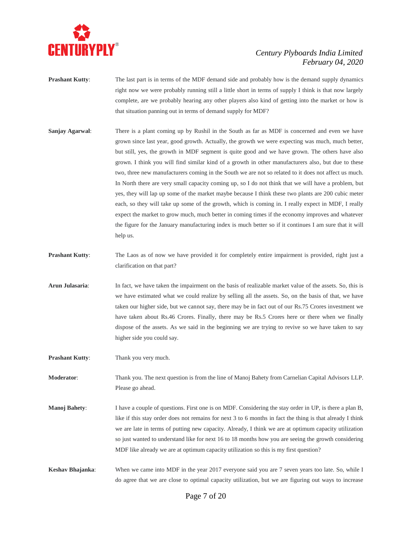

- **Prashant Kutty:** The last part is in terms of the MDF demand side and probably how is the demand supply dynamics right now we were probably running still a little short in terms of supply I think is that now largely complete, are we probably hearing any other players also kind of getting into the market or how is that situation panning out in terms of demand supply for MDF?
- **Sanjay Agarwal:** There is a plant coming up by Rushil in the South as far as MDF is concerned and even we have grown since last year, good growth. Actually, the growth we were expecting was much, much better, but still, yes, the growth in MDF segment is quite good and we have grown. The others have also grown. I think you will find similar kind of a growth in other manufacturers also, but due to these two, three new manufacturers coming in the South we are not so related to it does not affect us much. In North there are very small capacity coming up, so I do not think that we will have a problem, but yes, they will lap up some of the market maybe because I think these two plants are 200 cubic meter each, so they will take up some of the growth, which is coming in. I really expect in MDF, I really expect the market to grow much, much better in coming times if the economy improves and whatever the figure for the January manufacturing index is much better so if it continues I am sure that it will help us.
- **Prashant Kutty**: The Laos as of now we have provided it for completely entire impairment is provided, right just a clarification on that part?
- **Arun Julasaria**: In fact, we have taken the impairment on the basis of realizable market value of the assets. So, this is we have estimated what we could realize by selling all the assets. So, on the basis of that, we have taken our higher side, but we cannot say, there may be in fact out of our Rs.75 Crores investment we have taken about Rs.46 Crores. Finally, there may be Rs.5 Crores here or there when we finally dispose of the assets. As we said in the beginning we are trying to revive so we have taken to say higher side you could say.

**Prashant Kutty:** Thank you very much.

**Moderator**: Thank you. The next question is from the line of Manoj Bahety from Carnelian Capital Advisors LLP. Please go ahead.

- **Manoj Bahety**: I have a couple of questions. First one is on MDF. Considering the stay order in UP, is there a plan B, like if this stay order does not remains for next 3 to 6 months in fact the thing is that already I think we are late in terms of putting new capacity. Already, I think we are at optimum capacity utilization so just wanted to understand like for next 16 to 18 months how you are seeing the growth considering MDF like already we are at optimum capacity utilization so this is my first question?
- **Keshav Bhajanka**: When we came into MDF in the year 2017 everyone said you are 7 seven years too late. So, while I do agree that we are close to optimal capacity utilization, but we are figuring out ways to increase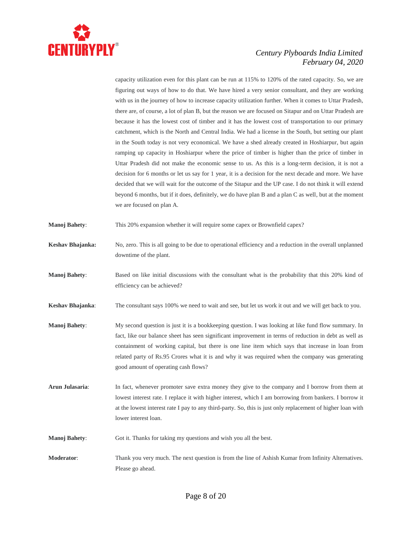

capacity utilization even for this plant can be run at 115% to 120% of the rated capacity. So, we are figuring out ways of how to do that. We have hired a very senior consultant, and they are working with us in the journey of how to increase capacity utilization further. When it comes to Uttar Pradesh, there are, of course, a lot of plan B, but the reason we are focused on Sitapur and on Uttar Pradesh are because it has the lowest cost of timber and it has the lowest cost of transportation to our primary catchment, which is the North and Central India. We had a license in the South, but setting our plant in the South today is not very economical. We have a shed already created in Hoshiarpur, but again ramping up capacity in Hoshiarpur where the price of timber is higher than the price of timber in Uttar Pradesh did not make the economic sense to us. As this is a long-term decision, it is not a decision for 6 months or let us say for 1 year, it is a decision for the next decade and more. We have decided that we will wait for the outcome of the Sitapur and the UP case. I do not think it will extend beyond 6 months, but if it does, definitely, we do have plan B and a plan C as well, but at the moment we are focused on plan A.

- **Manoj Bahety**: This 20% expansion whether it will require some capex or Brownfield capex?
- **Keshav Bhajanka:** No, zero. This is all going to be due to operational efficiency and a reduction in the overall unplanned downtime of the plant.
- **Manoj Bahety**: Based on like initial discussions with the consultant what is the probability that this 20% kind of efficiency can be achieved?
- **Keshav Bhajanka**: The consultant says 100% we need to wait and see, but let us work it out and we will get back to you.
- **Manoj Bahety**: My second question is just it is a bookkeeping question. I was looking at like fund flow summary. In fact, like our balance sheet has seen significant improvement in terms of reduction in debt as well as containment of working capital, but there is one line item which says that increase in loan from related party of Rs.95 Crores what it is and why it was required when the company was generating good amount of operating cash flows?
- **Arun Julasaria**: In fact, whenever promoter save extra money they give to the company and I borrow from them at lowest interest rate. I replace it with higher interest, which I am borrowing from bankers. I borrow it at the lowest interest rate I pay to any third-party. So, this is just only replacement of higher loan with lower interest loan.
- **Manoj Bahety:** Got it. Thanks for taking my questions and wish you all the best.
- **Moderator**: Thank you very much. The next question is from the line of Ashish Kumar from Infinity Alternatives. Please go ahead.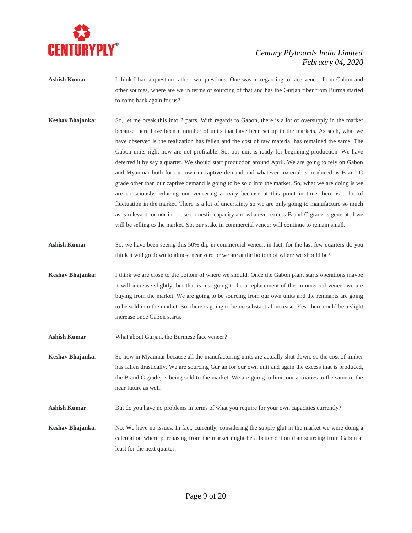

- **Ashish Kumar:** I think I had a question rather two questions. One was in regarding to face veneer from Gabon and other sources, where are we in terms of sourcing of that and has the Gurjan fiber from Burma started to come back again for us?
- **Keshav Bhajanka**: So, let me break this into 2 parts. With regards to Gabon, there is a lot of oversupply in the market because there have been n number of units that have been set up in the markets. As such, what we have observed is the realization has fallen and the cost of raw material has remained the same. The Gabon units right now are not profitable. So, our unit is ready for beginning production. We have deferred it by say a quarter. We should start production around April. We are going to rely on Gabon and Myanmar both for our own in captive demand and whatever material is produced as B and C grade other than our captive demand is going to be sold into the market. So, what we are doing is we are consciously reducing our veneering activity because at this point in time there is a lot of fluctuation in the market. There is a lot of uncertainty so we are only going to manufacture so much as is relevant for our in-house domestic capacity and whatever excess B and C grade is generated we will be selling to the market. So, our stake in commercial veneer will continue to remain small.
- **Ashish Kumar:** So, we have been seeing this 50% dip in commercial veneer, in fact, for the last few quarters do you think it will go down to almost near zero or we are at the bottom of where we should be?
- **Keshav Bhajanka**: I think we are close to the bottom of where we should. Once the Gabon plant starts operations maybe it will increase slightly, but that is just going to be a replacement of the commercial veneer we are buying from the market. We are going to be sourcing from our own units and the remnants are going to be sold into the market. So, there is going to be no substantial increase. Yes, there could be a slight increase once Gabon starts.
- **Ashish Kumar**: What about Gurjan, the Burmese face veneer?

**Keshav Bhajanka**: So now in Myanmar because all the manufacturing units are actually shut down, so the cost of timber has fallen drastically. We are sourcing Gurjan for our own unit and again the excess that is produced, the B and C grade, is being sold to the market. We are going to limit our activities to the same in the near future as well.

Ashish Kumar: But do you have no problems in terms of what you require for your own capacities currently?

**Keshav Bhajanka:** No. We have no issues. In fact, currently, considering the supply glut in the market we were doing a calculation where purchasing from the market might be a better option than sourcing from Gabon at least for the next quarter.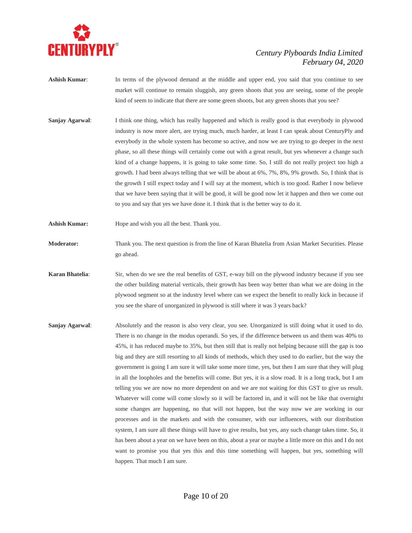

- **Ashish Kumar**: In terms of the plywood demand at the middle and upper end, you said that you continue to see market will continue to remain sluggish, any green shoots that you are seeing, some of the people kind of seem to indicate that there are some green shoots, but any green shoots that you see?
- **Sanjay Agarwal:** I think one thing, which has really happened and which is really good is that everybody in plywood industry is now more alert, are trying much, much harder, at least I can speak about CenturyPly and everybody in the whole system has become so active, and now we are trying to go deeper in the next phase, so all these things will certainly come out with a great result, but yes whenever a change such kind of a change happens, it is going to take some time. So, I still do not really project too high a growth. I had been always telling that we will be about at 6%, 7%, 8%, 9% growth. So, I think that is the growth I still expect today and I will say at the moment, which is too good. Rather I now believe that we have been saying that it will be good, it will be good now let it happen and then we come out to you and say that yes we have done it. I think that is the better way to do it.
- **Ashish Kumar:** Hope and wish you all the best. Thank you.
- **Moderator:** Thank you. The next question is from the line of Karan Bhatelia from Asian Market Securities. Please go ahead.
- **Karan Bhatelia**: Sir, when do we see the real benefits of GST, e-way bill on the plywood industry because if you see the other building material verticals, their growth has been way better than what we are doing in the plywood segment so at the industry level where can we expect the benefit to really kick in because if you see the share of unorganized in plywood is still where it was 3 years back?
- **Sanjay Agarwal**: Absolutely and the reason is also very clear, you see. Unorganized is still doing what it used to do. There is no change in the modus operandi. So yes, if the difference between us and them was 40% to 45%, it has reduced maybe to 35%, but then still that is really not helping because still the gap is too big and they are still resorting to all kinds of methods, which they used to do earlier, but the way the government is going I am sure it will take some more time, yes, but then I am sure that they will plug in all the loopholes and the benefits will come. But yes, it is a slow road. It is a long track, but I am telling you we are now no more dependent on and we are not waiting for this GST to give us result. Whatever will come will come slowly so it will be factored in, and it will not be like that overnight some changes are happening, no that will not happen, but the way now we are working in our processes and in the markets and with the consumer, with our influencers, with our distribution system, I am sure all these things will have to give results, but yes, any such change takes time. So, it has been about a year on we have been on this, about a year or maybe a little more on this and I do not want to promise you that yes this and this time something will happen, but yes, something will happen. That much I am sure.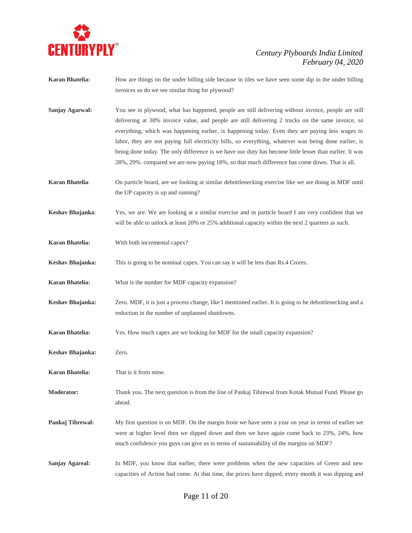

- **Karan Bhatelia:** How are things on the under billing side because in tiles we have seen some dip in the under billing invoices so do we see similar thing for plywood?
- **Sanjay Agarwal:** You see in plywood, what has happened, people are still delivering without invoice, people are still delivering at 30% invoice value, and people are still delivering 2 trucks on the same invoice, so everything, which was happening earlier, is happening today. Even they are paying less wages to labor, they are not paying full electricity bills, so everything, whatever was being done earlier, is being done today. The only difference is we have our duty has become little lesser than earlier. It was 28%, 29%. compared we are now paying 18%, so that much difference has come down. That is all.
- **Karan Bhatelia**: On particle board, are we looking at similar debottlenecking exercise like we are doing in MDF until the UP capacity is up and running?
- **Keshav Bhajanka**: Yes, we are. We are looking at a similar exercise and in particle board I am very confident that we will be able to unlock at least 20% or 25% additional capacity within the next 2 quarters as such.
- **Karan Bhatelia:** With both incremental capex?
- **Keshav Bhajanka:** This is going to be nominal capex. You can say it will be less than Rs.4 Crores.
- **Karan Bhatelia:** What is the number for MDF capacity expansion?
- **Keshav Bhajanka:** Zero. MDF, it is just a process change, like I mentioned earlier. It is going to be debottlenecking and a reduction in the number of unplanned shutdowns.
- **Karan Bhatelia:** Yes. How much capex are we looking for MDF for the small capacity expansion?
- **Keshav Bhajanka:** Zero.
- **Karan Bhatelia:** That is it from mine.
- **Moderator:** Thank you. The next question is from the line of Pankaj Tibrewal from Kotak Mutual Fund. Please go ahead.
- **Pankaj Tibrewal:** My first question is on MDF. On the margin front we have seen a year on year in terms of earlier we were at higher level then we dipped down and then we have again come back to 23%, 24%, how much confidence you guys can give us in terms of sustainability of the margins on MDF?
- **Sanjay Agareal:** In MDF, you know that earlier, there were problems when the new capacities of Green and new capacities of Action had come. At that time, the prices have dipped, every month it was dipping and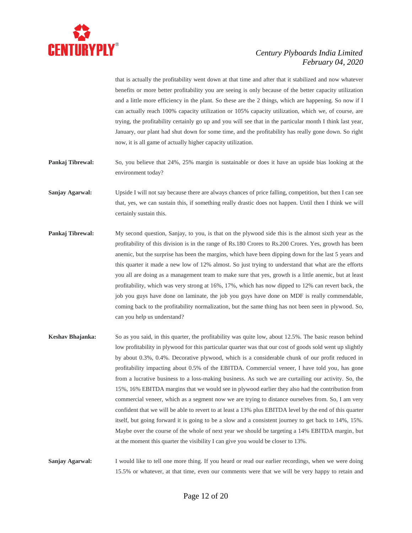

that is actually the profitability went down at that time and after that it stabilized and now whatever benefits or more better profitability you are seeing is only because of the better capacity utilization and a little more efficiency in the plant. So these are the 2 things, which are happening. So now if I can actually reach 100% capacity utilization or 105% capacity utilization, which we, of course, are trying, the profitability certainly go up and you will see that in the particular month I think last year, January, our plant had shut down for some time, and the profitability has really gone down. So right now, it is all game of actually higher capacity utilization.

**Pankaj Tibrewal:** So, you believe that 24%, 25% margin is sustainable or does it have an upside bias looking at the environment today?

**Sanjay Agarwal:** Upside I will not say because there are always chances of price falling, competition, but then I can see that, yes, we can sustain this, if something really drastic does not happen. Until then I think we will certainly sustain this.

- **Pankaj Tibrewal:** My second question, Sanjay, to you, is that on the plywood side this is the almost sixth year as the profitability of this division is in the range of Rs.180 Crores to Rs.200 Crores. Yes, growth has been anemic, but the surprise has been the margins, which have been dipping down for the last 5 years and this quarter it made a new low of 12% almost. So just trying to understand that what are the efforts you all are doing as a management team to make sure that yes, growth is a little anemic, but at least profitability, which was very strong at 16%, 17%, which has now dipped to 12% can revert back, the job you guys have done on laminate, the job you guys have done on MDF is really commendable, coming back to the profitability normalization, but the same thing has not been seen in plywood. So, can you help us understand?
- **Keshav Bhajanka:** So as you said, in this quarter, the profitability was quite low, about 12.5%. The basic reason behind low profitability in plywood for this particular quarter was that our cost of goods sold went up slightly by about 0.3%, 0.4%. Decorative plywood, which is a considerable chunk of our profit reduced in profitability impacting about 0.5% of the EBITDA. Commercial veneer, I have told you, has gone from a lucrative business to a loss-making business. As such we are curtailing our activity. So, the 15%, 16% EBITDA margins that we would see in plywood earlier they also had the contribution from commercial veneer, which as a segment now we are trying to distance ourselves from. So, I am very confident that we will be able to revert to at least a 13% plus EBITDA level by the end of this quarter itself, but going forward it is going to be a slow and a consistent journey to get back to 14%, 15%. Maybe over the course of the whole of next year we should be targeting a 14% EBITDA margin, but at the moment this quarter the visibility I can give you would be closer to 13%.

**Sanjay Agarwal:** I would like to tell one more thing. If you heard or read our earlier recordings, when we were doing 15.5% or whatever, at that time, even our comments were that we will be very happy to retain and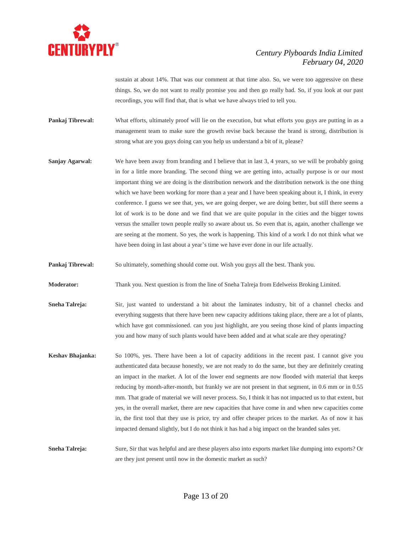

sustain at about 14%. That was our comment at that time also. So, we were too aggressive on these things. So, we do not want to really promise you and then go really bad. So, if you look at our past recordings, you will find that, that is what we have always tried to tell you.

**Pankaj Tibrewal:** What efforts, ultimately proof will lie on the execution, but what efforts you guys are putting in as a management team to make sure the growth revise back because the brand is strong, distribution is strong what are you guys doing can you help us understand a bit of it, please?

**Sanjay Agarwal:** We have been away from branding and I believe that in last 3, 4 years, so we will be probably going in for a little more branding. The second thing we are getting into, actually purpose is or our most important thing we are doing is the distribution network and the distribution network is the one thing which we have been working for more than a year and I have been speaking about it, I think, in every conference. I guess we see that, yes, we are going deeper, we are doing better, but still there seems a lot of work is to be done and we find that we are quite popular in the cities and the bigger towns versus the smaller town people really so aware about us. So even that is, again, another challenge we are seeing at the moment. So yes, the work is happening. This kind of a work I do not think what we have been doing in last about a year's time we have ever done in our life actually.

**Pankaj Tibrewal:** So ultimately, something should come out. Wish you guys all the best. Thank you.

**Moderator:** Thank you. Next question is from the line of Sneha Talreja from Edelweiss Broking Limited.

**Sneha Talreja:** Sir, just wanted to understand a bit about the laminates industry, bit of a channel checks and everything suggests that there have been new capacity additions taking place, there are a lot of plants, which have got commissioned. can you just highlight, are you seeing those kind of plants impacting you and how many of such plants would have been added and at what scale are they operating?

**Keshav Bhajanka:** So 100%, yes. There have been a lot of capacity additions in the recent past. I cannot give you authenticated data because honestly, we are not ready to do the same, but they are definitely creating an impact in the market. A lot of the lower end segments are now flooded with material that keeps reducing by month-after-month, but frankly we are not present in that segment, in 0.6 mm or in 0.55 mm. That grade of material we will never process. So, I think it has not impacted us to that extent, but yes, in the overall market, there are new capacities that have come in and when new capacities come in, the first tool that they use is price, try and offer cheaper prices to the market. As of now it has impacted demand slightly, but I do not think it has had a big impact on the branded sales yet.

**Sneha Talreja:** Sure, Sir that was helpful and are these players also into exports market like dumping into exports? Or are they just present until now in the domestic market as such?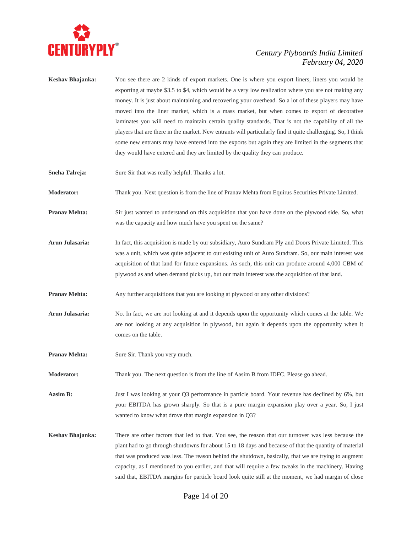

- **Keshav Bhajanka:** You see there are 2 kinds of export markets. One is where you export liners, liners you would be exporting at maybe \$3.5 to \$4, which would be a very low realization where you are not making any money. It is just about maintaining and recovering your overhead. So a lot of these players may have moved into the liner market, which is a mass market, but when comes to export of decorative laminates you will need to maintain certain quality standards. That is not the capability of all the players that are there in the market. New entrants will particularly find it quite challenging. So, I think some new entrants may have entered into the exports but again they are limited in the segments that they would have entered and they are limited by the quality they can produce.
- **Sneha Talreja:** Sure Sir that was really helpful. Thanks a lot.

**Moderator:** Thank you. Next question is from the line of Pranav Mehta from Equirus Securities Private Limited.

- **Pranav Mehta:** Sir just wanted to understand on this acquisition that you have done on the plywood side. So, what was the capacity and how much have you spent on the same?
- **Arun Julasaria:** In fact, this acquisition is made by our subsidiary, Auro Sundram Ply and Doors Private Limited. This was a unit, which was quite adjacent to our existing unit of Auro Sundram. So, our main interest was acquisition of that land for future expansions. As such, this unit can produce around 4,000 CBM of plywood as and when demand picks up, but our main interest was the acquisition of that land.
- **Pranav Mehta:** Any further acquisitions that you are looking at plywood or any other divisions?
- **Arun Julasaria:** No. In fact, we are not looking at and it depends upon the opportunity which comes at the table. We are not looking at any acquisition in plywood, but again it depends upon the opportunity when it comes on the table.
- **Pranav Mehta:** Sure Sir. Thank you very much.
- **Moderator:** Thank you. The next question is from the line of Aasim B from IDFC. Please go ahead.
- Aasim B: Just I was looking at your Q3 performance in particle board. Your revenue has declined by 6%, but your EBITDA has grown sharply. So that is a pure margin expansion play over a year. So, I just wanted to know what drove that margin expansion in Q3?
- **Keshav Bhajanka:** There are other factors that led to that. You see, the reason that our turnover was less because the plant had to go through shutdowns for about 15 to 18 days and because of that the quantity of material that was produced was less. The reason behind the shutdown, basically, that we are trying to augment capacity, as I mentioned to you earlier, and that will require a few tweaks in the machinery. Having said that, EBITDA margins for particle board look quite still at the moment, we had margin of close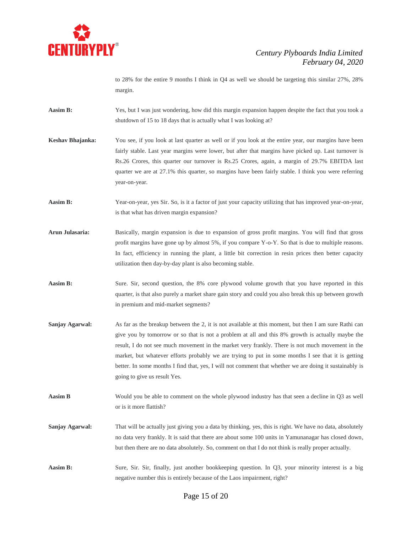

to 28% for the entire 9 months I think in Q4 as well we should be targeting this similar 27%, 28% margin.

- **Aasim B:** Yes, but I was just wondering, how did this margin expansion happen despite the fact that you took a shutdown of 15 to 18 days that is actually what I was looking at?
- **Keshav Bhajanka:** You see, if you look at last quarter as well or if you look at the entire year, our margins have been fairly stable. Last year margins were lower, but after that margins have picked up. Last turnover is Rs.26 Crores, this quarter our turnover is Rs.25 Crores, again, a margin of 29.7% EBITDA last quarter we are at 27.1% this quarter, so margins have been fairly stable. I think you were referring year-on-year.
- **Aasim B:** Year-on-year, yes Sir. So, is it a factor of just your capacity utilizing that has improved year-on-year, is that what has driven margin expansion?
- **Arun Julasaria:** Basically, margin expansion is due to expansion of gross profit margins. You will find that gross profit margins have gone up by almost 5%, if you compare Y-o-Y. So that is due to multiple reasons. In fact, efficiency in running the plant, a little bit correction in resin prices then better capacity utilization then day-by-day plant is also becoming stable.
- **Aasim B:** Sure. Sir, second question, the 8% core plywood volume growth that you have reported in this quarter, is that also purely a market share gain story and could you also break this up between growth in premium and mid-market segments?
- **Sanjay Agarwal:** As far as the breakup between the 2, it is not available at this moment, but then I am sure Rathi can give you by tomorrow or so that is not a problem at all and this 8% growth is actually maybe the result, I do not see much movement in the market very frankly. There is not much movement in the market, but whatever efforts probably we are trying to put in some months I see that it is getting better. In some months I find that, yes, I will not comment that whether we are doing it sustainably is going to give us result Yes.
- **Aasim B** Would you be able to comment on the whole plywood industry has that seen a decline in Q3 as well or is it more flattish?
- **Sanjay Agarwal:** That will be actually just giving you a data by thinking, yes, this is right. We have no data, absolutely no data very frankly. It is said that there are about some 100 units in Yamunanagar has closed down, but then there are no data absolutely. So, comment on that I do not think is really proper actually.
- **Aasim B:** Sure, Sir. Sir, finally, just another bookkeeping question. In Q3, your minority interest is a big negative number this is entirely because of the Laos impairment, right?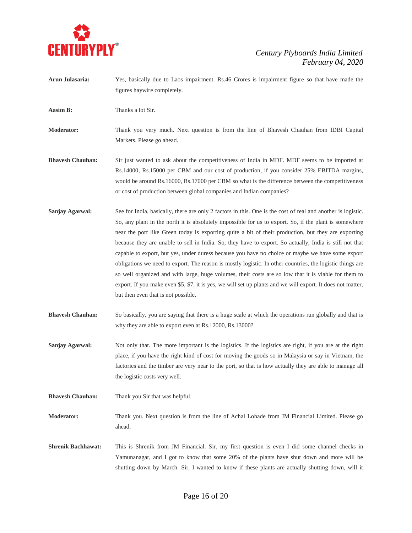

- **Arun Julasaria:** Yes, basically due to Laos impairment. Rs.46 Crores is impairment figure so that have made the figures haywire completely.
- **Aasim B:** Thanks a lot Sir.
- **Moderator:** Thank you very much. Next question is from the line of Bhavesh Chauhan from IDBI Capital Markets. Please go ahead.
- **Bhavesh Chauhan:** Sir just wanted to ask about the competitiveness of India in MDF. MDF seems to be imported at Rs.14000, Rs.15000 per CBM and our cost of production, if you consider 25% EBITDA margins, would be around Rs.16000, Rs.17000 per CBM so what is the difference between the competitiveness or cost of production between global companies and Indian companies?
- **Sanjay Agarwal:** See for India, basically, there are only 2 factors in this. One is the cost of real and another is logistic. So, any plant in the north it is absolutely impossible for us to export. So, if the plant is somewhere near the port like Green today is exporting quite a bit of their production, but they are exporting because they are unable to sell in India. So, they have to export. So actually, India is still not that capable to export, but yes, under duress because you have no choice or maybe we have some export obligations we need to export. The reason is mostly logistic. In other countries, the logistic things are so well organized and with large, huge volumes, their costs are so low that it is viable for them to export. If you make even \$5, \$7, it is yes, we will set up plants and we will export. It does not matter, but then even that is not possible.
- **Bhavesh Chauhan:** So basically, you are saying that there is a huge scale at which the operations run globally and that is why they are able to export even at Rs.12000, Rs.13000?
- **Sanjay Agarwal:** Not only that. The more important is the logistics. If the logistics are right, if you are at the right place, if you have the right kind of cost for moving the goods so in Malaysia or say in Vietnam, the factories and the timber are very near to the port, so that is how actually they are able to manage all the logistic costs very well.
- **Bhavesh Chauhan:** Thank you Sir that was helpful.
- **Moderator:** Thank you. Next question is from the line of Achal Lohade from JM Financial Limited. Please go ahead.
- **Shrenik Bachhawat:** This is Shrenik from JM Financial. Sir, my first question is even I did some channel checks in Yamunanagar, and I got to know that some 20% of the plants have shut down and more will be shutting down by March. Sir, I wanted to know if these plants are actually shutting down, will it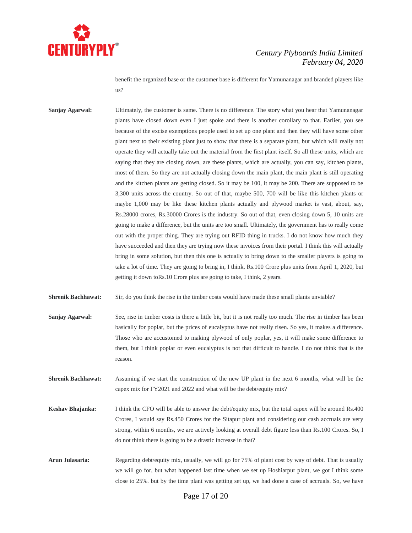

benefit the organized base or the customer base is different for Yamunanagar and branded players like us?

**Sanjay Agarwal:** Ultimately, the customer is same. There is no difference. The story what you hear that Yamunanagar plants have closed down even I just spoke and there is another corollary to that. Earlier, you see because of the excise exemptions people used to set up one plant and then they will have some other plant next to their existing plant just to show that there is a separate plant, but which will really not operate they will actually take out the material from the first plant itself. So all these units, which are saying that they are closing down, are these plants, which are actually, you can say, kitchen plants, most of them. So they are not actually closing down the main plant, the main plant is still operating and the kitchen plants are getting closed. So it may be 100, it may be 200. There are supposed to be 3,300 units across the country. So out of that, maybe 500, 700 will be like this kitchen plants or maybe 1,000 may be like these kitchen plants actually and plywood market is vast, about, say, Rs.28000 crores, Rs.30000 Crores is the industry. So out of that, even closing down 5, 10 units are going to make a difference, but the units are too small. Ultimately, the government has to really come out with the proper thing. They are trying out RFID thing in trucks. I do not know how much they have succeeded and then they are trying now these invoices from their portal. I think this will actually bring in some solution, but then this one is actually to bring down to the smaller players is going to take a lot of time. They are going to bring in, I think, Rs.100 Crore plus units from April 1, 2020, but getting it down toRs.10 Crore plus are going to take, I think, 2 years.

**Shrenik Bachhawat:** Sir, do you think the rise in the timber costs would have made these small plants unviable?

- **Sanjay Agarwal:** See, rise in timber costs is there a little bit, but it is not really too much. The rise in timber has been basically for poplar, but the prices of eucalyptus have not really risen. So yes, it makes a difference. Those who are accustomed to making plywood of only poplar, yes, it will make some difference to them, but I think poplar or even eucalyptus is not that difficult to handle. I do not think that is the reason.
- **Shrenik Bachhawat:** Assuming if we start the construction of the new UP plant in the next 6 months, what will be the capex mix for FY2021 and 2022 and what will be the debt/equity mix?
- **Keshav Bhajanka:** I think the CFO will be able to answer the debt/equity mix, but the total capex will be around Rs.400 Crores, I would say Rs.450 Crores for the Sitapur plant and considering our cash accruals are very strong, within 6 months, we are actively looking at overall debt figure less than Rs.100 Crores. So, I do not think there is going to be a drastic increase in that?
- **Arun Julasaria:** Regarding debt/equity mix, usually, we will go for 75% of plant cost by way of debt. That is usually we will go for, but what happened last time when we set up Hoshiarpur plant, we got I think some close to 25%. but by the time plant was getting set up, we had done a case of accruals. So, we have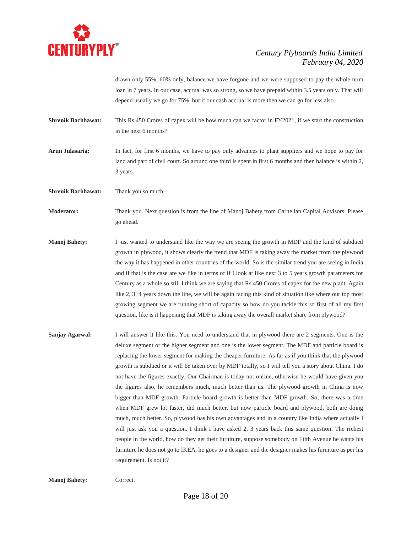

drawn only 55%, 60% only, balance we have forgone and we were supposed to pay the whole term loan in 7 years. In our case, accrual was so strong, so we have prepaid within 3.5 years only. That will depend usually we go for 75%, but if our cash accrual is more then we can go for less also.

- **Shrenik Bachhawat:** This Rs.450 Crores of capex will be how much can we factor in FY2021, if we start the construction in the next 6 months?
- **Arun Julasaria:** In fact, for first 6 months, we have to pay only advances to plant suppliers and we hope to pay for land and part of civil court. So around one third is spent in first 6 months and then balance is within 2, 3 years.
- **Shrenik Bachhawat:** Thank you so much.

**Moderator:** Thank you. Next question is from the line of Manoj Bahety from Carnelian Capital Advisors. Please go ahead.

- **Manoj Bahety:** I just wanted to understand like the way we are seeing the growth in MDF and the kind of subdued growth in plywood, it shows clearly the trend that MDF is taking away the market from the plywood the way it has happened in other countries of the world. So is the similar trend you are seeing in India and if that is the case are we like in terms of if I look at like next 3 to 5 years growth parameters for Century as a whole so still I think we are saying that Rs.450 Crores of capex for the new plant. Again like 2, 3, 4 years down the line, we will be again facing this kind of situation like where our top most growing segment we are running short of capacity so how do you tackle this so first of all my first question, like is it happening that MDF is taking away the overall market share from plywood?
- **Sanjay Agarwal:** I will answer it like this. You need to understand that in plywood there are 2 segments. One is the deluxe segment or the higher segment and one is the lower segment. The MDF and particle board is replacing the lower segment for making the cheaper furniture. As far as if you think that the plywood growth is subdued or it will be taken over by MDF totally, so I will tell you a story about China. I do not have the figures exactly. Our Chairman is today not online, otherwise he would have given you the figures also, he remembers much, much better than us. The plywood growth in China is now bigger than MDF growth. Particle board growth is better than MDF growth. So, there was a time when MDF grew lot faster, did much better, but now particle board and plywood, both are doing much, much better. So, plywood has his own advantages and in a country like India where actually I will just ask you a question. I think I have asked 2, 3 years back this same question. The richest people in the world, how do they get their furniture, suppose somebody on Fifth Avenue he wants his furniture he does not go to IKEA, he goes to a designer and the designer makes his furniture as per his requirement. Is not it?

**Manoj Bahety:** Correct.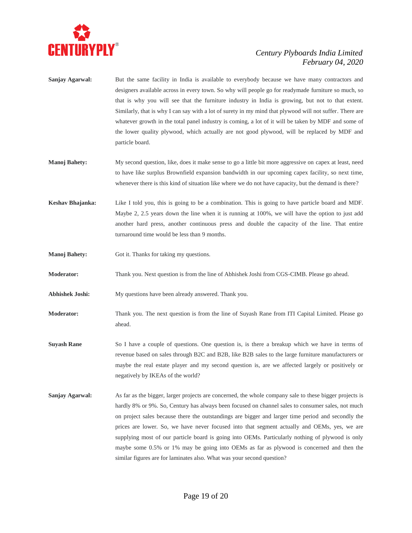

- **Sanjay Agarwal:** But the same facility in India is available to everybody because we have many contractors and designers available across in every town. So why will people go for readymade furniture so much, so that is why you will see that the furniture industry in India is growing, but not to that extent. Similarly, that is why I can say with a lot of surety in my mind that plywood will not suffer. There are whatever growth in the total panel industry is coming, a lot of it will be taken by MDF and some of the lower quality plywood, which actually are not good plywood, will be replaced by MDF and particle board.
- **Manoj Bahety:** My second question, like, does it make sense to go a little bit more aggressive on capex at least, need to have like surplus Brownfield expansion bandwidth in our upcoming capex facility, so next time, whenever there is this kind of situation like where we do not have capacity, but the demand is there?
- **Keshav Bhajanka:** Like I told you, this is going to be a combination. This is going to have particle board and MDF. Maybe 2, 2.5 years down the line when it is running at 100%, we will have the option to just add another hard press, another continuous press and double the capacity of the line. That entire turnaround time would be less than 9 months.
- **Manoj Bahety:** Got it. Thanks for taking my questions.
- **Moderator:** Thank you. Next question is from the line of Abhishek Joshi from CGS-CIMB. Please go ahead.
- **Abhishek Joshi:** My questions have been already answered. Thank you.
- **Moderator:** Thank you. The next question is from the line of Suyash Rane from ITI Capital Limited. Please go ahead.
- **Suyash Rane** So I have a couple of questions. One question is, is there a breakup which we have in terms of revenue based on sales through B2C and B2B, like B2B sales to the large furniture manufacturers or maybe the real estate player and my second question is, are we affected largely or positively or negatively by IKEAs of the world?
- **Sanjay Agarwal:** As far as the bigger, larger projects are concerned, the whole company sale to these bigger projects is hardly 8% or 9%. So, Century has always been focused on channel sales to consumer sales, not much on project sales because there the outstandings are bigger and larger time period and secondly the prices are lower. So, we have never focused into that segment actually and OEMs, yes, we are supplying most of our particle board is going into OEMs. Particularly nothing of plywood is only maybe some 0.5% or 1% may be going into OEMs as far as plywood is concerned and then the similar figures are for laminates also. What was your second question?